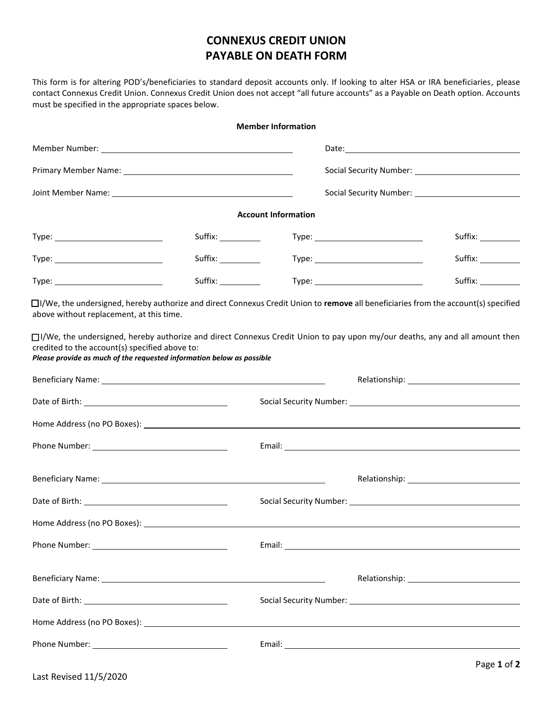## **CONNEXUS CREDIT UNION PAYABLE ON DEATH FORM**

This form is for altering POD's/beneficiaries to standard deposit accounts only. If looking to alter HSA or IRA beneficiaries, please contact Connexus Credit Union. Connexus Credit Union does not accept "all future accounts" as a Payable on Death option. Accounts must be specified in the appropriate spaces below.

|                                                                                                                         |                     | <b>Member Information</b>  |                                                                                                                                                                                                                               |
|-------------------------------------------------------------------------------------------------------------------------|---------------------|----------------------------|-------------------------------------------------------------------------------------------------------------------------------------------------------------------------------------------------------------------------------|
|                                                                                                                         |                     |                            |                                                                                                                                                                                                                               |
| Primary Member Name: 1997 - 1998 - 1999 - 1999 - 1999 - 1999 - 1999 - 1999 - 1999 - 1999 - 1999 - 1999 - 1999           |                     |                            |                                                                                                                                                                                                                               |
|                                                                                                                         |                     |                            |                                                                                                                                                                                                                               |
|                                                                                                                         |                     | <b>Account Information</b> |                                                                                                                                                                                                                               |
|                                                                                                                         |                     |                            | Suffix: __________                                                                                                                                                                                                            |
|                                                                                                                         | Suffix: ___________ |                            | Suffix: __________                                                                                                                                                                                                            |
|                                                                                                                         | Suffix: __________  |                            |                                                                                                                                                                                                                               |
| above without replacement, at this time.                                                                                |                     |                            | $\Box$ I/We, the undersigned, hereby authorize and direct Connexus Credit Union to remove all beneficiaries from the account(s) specified                                                                                     |
| credited to the account(s) specified above to:<br>Please provide as much of the requested information below as possible |                     |                            | □I/We, the undersigned, hereby authorize and direct Connexus Credit Union to pay upon my/our deaths, any and all amount then                                                                                                  |
|                                                                                                                         |                     |                            |                                                                                                                                                                                                                               |
|                                                                                                                         |                     |                            |                                                                                                                                                                                                                               |
|                                                                                                                         |                     |                            | Home Address (no PO Boxes): Notified that the set of the set of the set of the set of the set of the set of the set of the set of the set of the set of the set of the set of the set of the set of the set of the set of the |
|                                                                                                                         |                     |                            |                                                                                                                                                                                                                               |
|                                                                                                                         |                     |                            |                                                                                                                                                                                                                               |
|                                                                                                                         |                     |                            |                                                                                                                                                                                                                               |
|                                                                                                                         |                     |                            |                                                                                                                                                                                                                               |
|                                                                                                                         |                     |                            |                                                                                                                                                                                                                               |
|                                                                                                                         |                     |                            |                                                                                                                                                                                                                               |
|                                                                                                                         |                     |                            |                                                                                                                                                                                                                               |
|                                                                                                                         |                     |                            |                                                                                                                                                                                                                               |
|                                                                                                                         |                     |                            |                                                                                                                                                                                                                               |